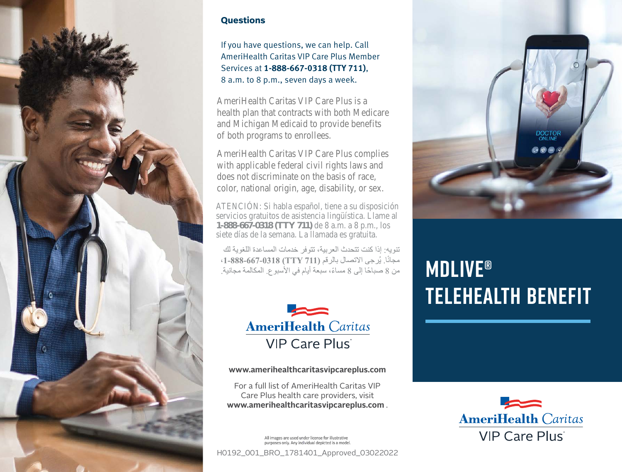

## **Questions**

If you have questions, we can help. Call AmeriHealth Caritas VIP Care Plus Member Services at **1-888-667-0318 (TTY 711)**, 8 a.m. to 8 p.m., seven days a week.

AmeriHealth Caritas VIP Care Plus is a health plan that contracts with both Medicare and Michigan Medicaid to provide benefits of both programs to enrollees.

AmeriHealth Caritas VIP Care Plus complies with applicable federal civil rights laws and does not discriminate on the basis of race, color, national origin, age, disability, or sex.

ATENCIÓN: Si habla español, tiene a su disposición servicios gratuitos de asistencia lingüística. Llame al **1-000-007-0310** (**1111/11**) de 6 a.m. a 6 p.m., siete días de la semana. La llamada es gratuita. **1-888-667-0318 (TTY 711)** de 8 a.m. a 8 p.m., los

تنو به: إذا كنت تتحدث العر ببة، تتوفر خدمات المساعدة اللغو بة لك مجانًا. يُرجى الاتصال بالرقم (TTY 711) 1-888-667-0318)، من 8 صباحًا إلى 8 مساءً، سبعة أيام في الأسبو ع. المكالمة مجانية.



**www.amerihealthcaritasvipcareplus.com**

For a full list of AmeriHealth Caritas VIP Care Plus health care providers, visit **www.amerihealthcaritasvipcareplus.com** .

All images are used under license for illustrative<br>purposes only. Any individual depicted is a model.

H0192\_001\_BRO\_1781401\_Approved\_03022022



## **MDlive® telehealth benefit**